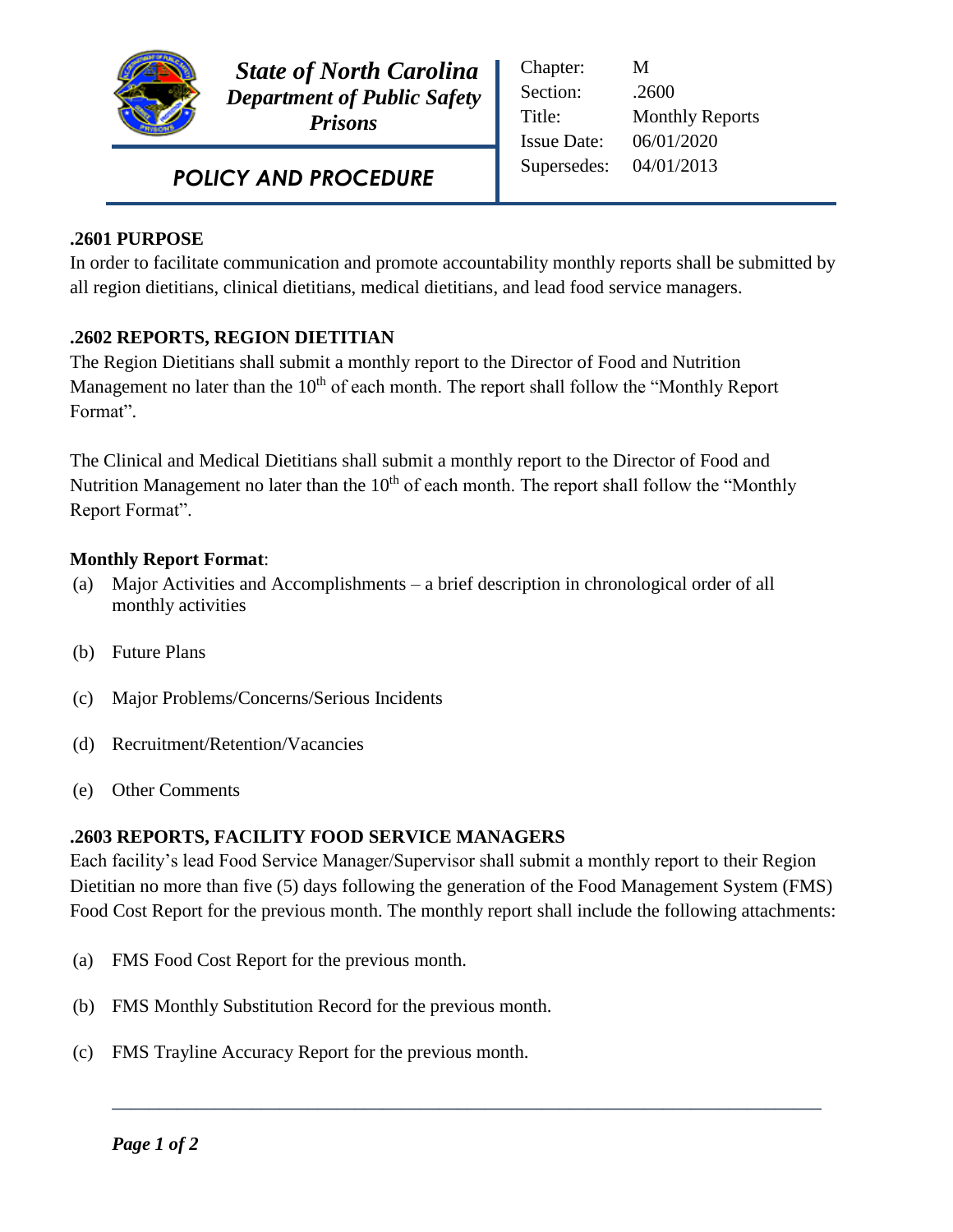

 *State of North Carolina Department of Public Safety Prisons* 

 *POLICY AND PROCEDURE*

| Chapter:           | M                      |
|--------------------|------------------------|
| Section:           | .2600                  |
| Title:             | <b>Monthly Reports</b> |
| <b>Issue Date:</b> | 06/01/2020             |
| Supersedes:        | 04/01/2013             |
|                    |                        |

## **.2601 PURPOSE**

In order to facilitate communication and promote accountability monthly reports shall be submitted by all region dietitians, clinical dietitians, medical dietitians, and lead food service managers.

Ī

## **.2602 REPORTS, REGION DIETITIAN**

The Region Dietitians shall submit a monthly report to the Director of Food and Nutrition Management no later than the  $10<sup>th</sup>$  of each month. The report shall follow the "Monthly Report Format".

The Clinical and Medical Dietitians shall submit a monthly report to the Director of Food and Nutrition Management no later than the  $10<sup>th</sup>$  of each month. The report shall follow the "Monthly Report Format".

## **Monthly Report Format**:

- (a) Major Activities and Accomplishments a brief description in chronological order of all monthly activities
- (b) Future Plans
- (c) Major Problems/Concerns/Serious Incidents
- (d) Recruitment/Retention/Vacancies
- (e) Other Comments

## **.2603 REPORTS, FACILITY FOOD SERVICE MANAGERS**

Each facility's lead Food Service Manager/Supervisor shall submit a monthly report to their Region Dietitian no more than five (5) days following the generation of the Food Management System (FMS) Food Cost Report for the previous month. The monthly report shall include the following attachments:

**\_\_\_\_\_\_\_\_\_\_\_\_\_\_\_\_\_\_\_\_\_\_\_\_\_\_\_\_\_\_\_\_\_\_\_\_\_\_\_\_\_\_\_\_\_\_\_\_\_\_\_\_\_\_\_\_\_\_\_\_\_\_\_\_\_\_\_\_\_\_\_\_\_\_\_\_**

- (a) FMS Food Cost Report for the previous month.
- (b) FMS Monthly Substitution Record for the previous month.
- (c) FMS Trayline Accuracy Report for the previous month.